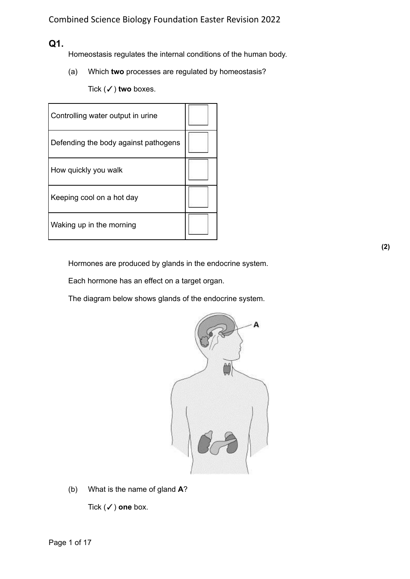## **Q1.**

Homeostasis regulates the internal conditions of the human body.

(a) Which **two** processes are regulated by homeostasis?

Tick (✓) **two** boxes.

| Controlling water output in urine    |  |
|--------------------------------------|--|
| Defending the body against pathogens |  |
| How quickly you walk                 |  |
| Keeping cool on a hot day            |  |
| Waking up in the morning             |  |

Hormones are produced by glands in the endocrine system.

Each hormone has an effect on a target organ.

The diagram below shows glands of the endocrine system.



(b) What is the name of gland **A**?

Tick (✓) **one** box.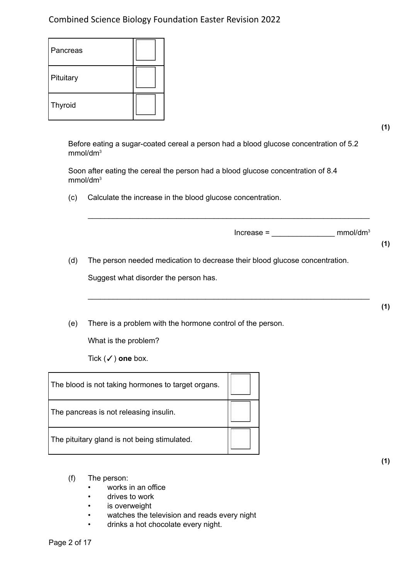| Pancreas  |  |
|-----------|--|
| Pituitary |  |
| Thyroid   |  |

**(1)**

Before eating a sugar-coated cereal a person had a blood glucose concentration of 5.2 mmol/dm<sup>3</sup>

\_\_\_\_\_\_\_\_\_\_\_\_\_\_\_\_\_\_\_\_\_\_\_\_\_\_\_\_\_\_\_\_\_\_\_\_\_\_\_\_\_\_\_\_\_\_\_\_\_\_\_\_\_\_\_\_\_\_\_\_\_\_\_\_\_\_\_

\_\_\_\_\_\_\_\_\_\_\_\_\_\_\_\_\_\_\_\_\_\_\_\_\_\_\_\_\_\_\_\_\_\_\_\_\_\_\_\_\_\_\_\_\_\_\_\_\_\_\_\_\_\_\_\_\_\_\_\_\_\_\_\_\_\_\_

Soon after eating the cereal the person had a blood glucose concentration of 8.4 mmol/dm<sup>3</sup>

(c) Calculate the increase in the blood glucose concentration.

 $Increase = \_$  mmol/dm<sup>3</sup>

**(1)**

**(1)**

(d) The person needed medication to decrease their blood glucose concentration.

Suggest what disorder the person has.

(e) There is a problem with the hormone control of the person.

What is the problem?

Tick (✓) **one** box.

| The blood is not taking hormones to target organs. |  |
|----------------------------------------------------|--|
| The pancreas is not releasing insulin.             |  |
| The pituitary gland is not being stimulated.       |  |

- (f) The person:
	- works in an office
	- drives to work
	- is overweight
	- watches the television and reads every night
	- drinks a hot chocolate every night.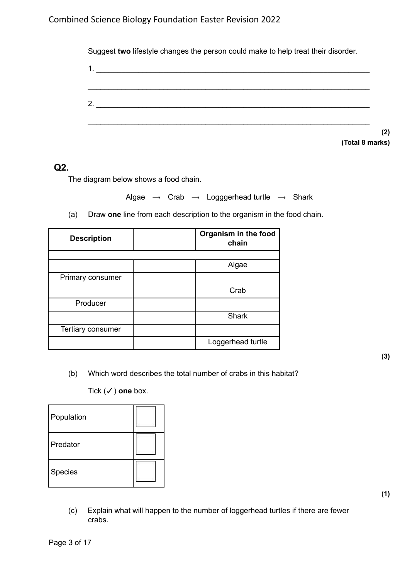| 2. $\qquad \qquad$ |  |  |  |
|--------------------|--|--|--|
|                    |  |  |  |

## **Q2.**

The diagram below shows a food chain.

Algae  $\rightarrow$  Crab  $\rightarrow$  Logggerhead turtle  $\rightarrow$  Shark

(a) Draw **one** line from each description to the organism in the food chain.

| <b>Description</b> | Organism in the food<br>chain |
|--------------------|-------------------------------|
|                    |                               |
|                    | Algae                         |
| Primary consumer   |                               |
|                    | Crab                          |
| Producer           |                               |
|                    | <b>Shark</b>                  |
| Tertiary consumer  |                               |
|                    | Loggerhead turtle             |

(b) Which word describes the total number of crabs in this habitat?

Tick (✓) **one** box.

| Population |  |
|------------|--|
| Predator   |  |
| Species    |  |

(c) Explain what will happen to the number of loggerhead turtles if there are fewer crabs.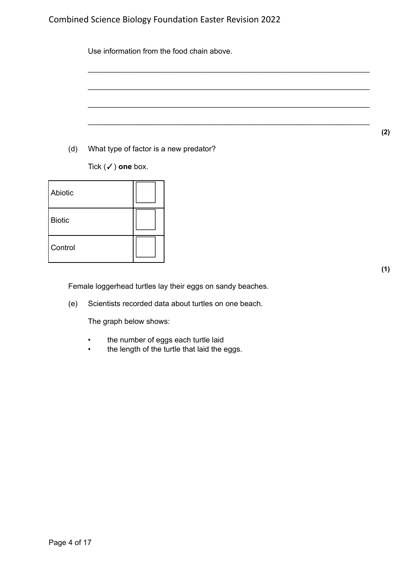Use information from the food chain above.

\_\_\_\_\_\_\_\_\_\_\_\_\_\_\_\_\_\_\_\_\_\_\_\_\_\_\_\_\_\_\_\_\_\_\_\_\_\_\_\_\_\_\_\_\_\_\_\_\_\_\_\_\_\_\_\_\_\_\_\_\_\_\_\_\_\_\_

\_\_\_\_\_\_\_\_\_\_\_\_\_\_\_\_\_\_\_\_\_\_\_\_\_\_\_\_\_\_\_\_\_\_\_\_\_\_\_\_\_\_\_\_\_\_\_\_\_\_\_\_\_\_\_\_\_\_\_\_\_\_\_\_\_\_\_

\_\_\_\_\_\_\_\_\_\_\_\_\_\_\_\_\_\_\_\_\_\_\_\_\_\_\_\_\_\_\_\_\_\_\_\_\_\_\_\_\_\_\_\_\_\_\_\_\_\_\_\_\_\_\_\_\_\_\_\_\_\_\_\_\_\_\_

\_\_\_\_\_\_\_\_\_\_\_\_\_\_\_\_\_\_\_\_\_\_\_\_\_\_\_\_\_\_\_\_\_\_\_\_\_\_\_\_\_\_\_\_\_\_\_\_\_\_\_\_\_\_\_\_\_\_\_\_\_\_\_\_\_\_\_

(d) What type of factor is a new predator?

Tick (✓) **one** box.

| Abiotic       |  |
|---------------|--|
| <b>Biotic</b> |  |
| Control       |  |

Female loggerhead turtles lay their eggs on sandy beaches.

(e) Scientists recorded data about turtles on one beach.

The graph below shows:

- the number of eggs each turtle laid
- the length of the turtle that laid the eggs.

**(2)**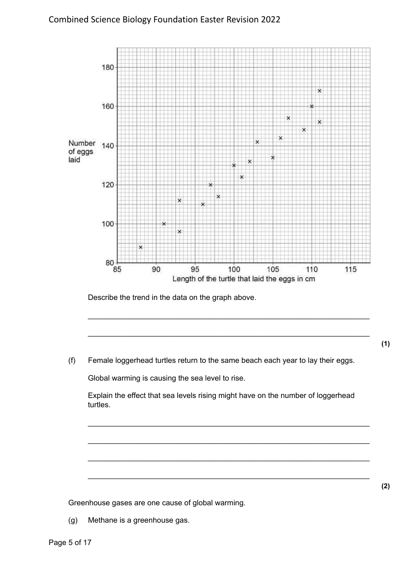

Describe the trend in the data on the graph above.

- **(1)**
- (f) Female loggerhead turtles return to the same beach each year to lay their eggs.

Global warming is causing the sea level to rise.

Explain the effect that sea levels rising might have on the number of loggerhead turtles.

\_\_\_\_\_\_\_\_\_\_\_\_\_\_\_\_\_\_\_\_\_\_\_\_\_\_\_\_\_\_\_\_\_\_\_\_\_\_\_\_\_\_\_\_\_\_\_\_\_\_\_\_\_\_\_\_\_\_\_\_\_\_\_\_\_\_\_

\_\_\_\_\_\_\_\_\_\_\_\_\_\_\_\_\_\_\_\_\_\_\_\_\_\_\_\_\_\_\_\_\_\_\_\_\_\_\_\_\_\_\_\_\_\_\_\_\_\_\_\_\_\_\_\_\_\_\_\_\_\_\_\_\_\_\_

\_\_\_\_\_\_\_\_\_\_\_\_\_\_\_\_\_\_\_\_\_\_\_\_\_\_\_\_\_\_\_\_\_\_\_\_\_\_\_\_\_\_\_\_\_\_\_\_\_\_\_\_\_\_\_\_\_\_\_\_\_\_\_\_\_\_\_

\_\_\_\_\_\_\_\_\_\_\_\_\_\_\_\_\_\_\_\_\_\_\_\_\_\_\_\_\_\_\_\_\_\_\_\_\_\_\_\_\_\_\_\_\_\_\_\_\_\_\_\_\_\_\_\_\_\_\_\_\_\_\_\_\_\_\_

\_\_\_\_\_\_\_\_\_\_\_\_\_\_\_\_\_\_\_\_\_\_\_\_\_\_\_\_\_\_\_\_\_\_\_\_\_\_\_\_\_\_\_\_\_\_\_\_\_\_\_\_\_\_\_\_\_\_\_\_\_\_\_\_\_\_\_

\_\_\_\_\_\_\_\_\_\_\_\_\_\_\_\_\_\_\_\_\_\_\_\_\_\_\_\_\_\_\_\_\_\_\_\_\_\_\_\_\_\_\_\_\_\_\_\_\_\_\_\_\_\_\_\_\_\_\_\_\_\_\_\_\_\_\_

Greenhouse gases are one cause of global warming.

(g) Methane is a greenhouse gas.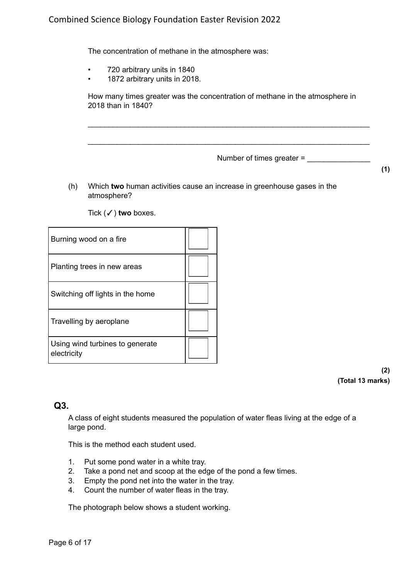The concentration of methane in the atmosphere was:

- 720 arbitrary units in 1840
- 1872 arbitrary units in 2018.

How many times greater was the concentration of methane in the atmosphere in 2018 than in 1840?

\_\_\_\_\_\_\_\_\_\_\_\_\_\_\_\_\_\_\_\_\_\_\_\_\_\_\_\_\_\_\_\_\_\_\_\_\_\_\_\_\_\_\_\_\_\_\_\_\_\_\_\_\_\_\_\_\_\_\_\_\_\_\_\_\_\_\_

\_\_\_\_\_\_\_\_\_\_\_\_\_\_\_\_\_\_\_\_\_\_\_\_\_\_\_\_\_\_\_\_\_\_\_\_\_\_\_\_\_\_\_\_\_\_\_\_\_\_\_\_\_\_\_\_\_\_\_\_\_\_\_\_\_\_\_

Number of times greater =

- **(1)**
- (h) Which **two** human activities cause an increase in greenhouse gases in the atmosphere?

Tick (✓) **two** boxes.

| Burning wood on a fire                         |  |
|------------------------------------------------|--|
| Planting trees in new areas                    |  |
| Switching off lights in the home               |  |
| Travelling by aeroplane                        |  |
| Using wind turbines to generate<br>electricity |  |

**(2) (Total 13 marks)**

### **Q3.**

A class of eight students measured the population of water fleas living at the edge of a large pond.

This is the method each student used.

- 1. Put some pond water in a white tray.
- 2. Take a pond net and scoop at the edge of the pond a few times.
- 3. Empty the pond net into the water in the tray.
- 4. Count the number of water fleas in the tray.

The photograph below shows a student working.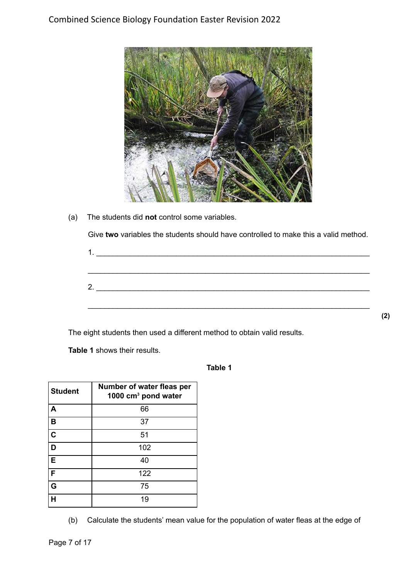

(a) The students did **not** control some variables.

Give **two** variables the students should have controlled to make this a valid method.

| $\begin{array}{c}\n1. \\ \hline\n\end{array}$ |  |  |  |
|-----------------------------------------------|--|--|--|
|                                               |  |  |  |
|                                               |  |  |  |
| 2.                                            |  |  |  |
|                                               |  |  |  |
|                                               |  |  |  |

The eight students then used a different method to obtain valid results.

**Table 1** shows their results.

**Table 1**

| <b>Student</b> | Number of water fleas per<br>1000 cm <sup>3</sup> pond water |
|----------------|--------------------------------------------------------------|
| A              | 66                                                           |
| в              | 37                                                           |
| $\mathbf c$    | 51                                                           |
| D              | 102                                                          |
| E              | 40                                                           |
| F              | 122                                                          |
| Ġ              | 75                                                           |
| н              | 19                                                           |

(b) Calculate the students' mean value for the population of water fleas at the edge of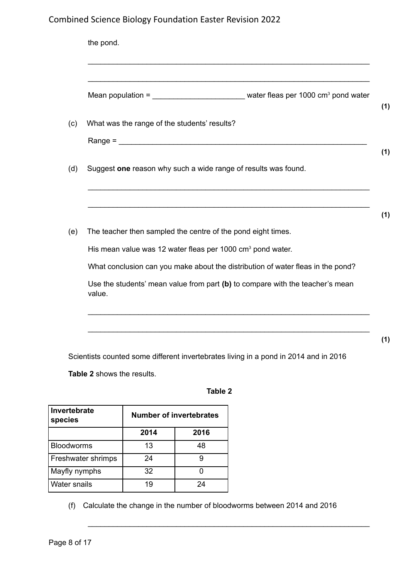| Mean population = $\frac{1}{2}$ water fleas per 1000 cm <sup>3</sup> pond water         |
|-----------------------------------------------------------------------------------------|
| What was the range of the students' results?                                            |
|                                                                                         |
| Suggest one reason why such a wide range of results was found.                          |
|                                                                                         |
| The teacher then sampled the centre of the pond eight times.                            |
| His mean value was 12 water fleas per 1000 cm <sup>3</sup> pond water.                  |
| What conclusion can you make about the distribution of water fleas in the pond?         |
| Use the students' mean value from part (b) to compare with the teacher's mean<br>value. |

Scientists counted some different invertebrates living in a pond in 2014 and in 2016

**Table 2** shows the results.

### **Table 2**

| Invertebrate<br>species   | Number of invertebrates |      |  |
|---------------------------|-------------------------|------|--|
|                           | 2014                    | 2016 |  |
| <b>Bloodworms</b>         | 13                      | 48   |  |
| <b>Freshwater shrimps</b> | 24                      |      |  |
| Mayfly nymphs             | 32                      |      |  |
| <b>Water snails</b>       | 19                      | 24   |  |

(f) Calculate the change in the number of bloodworms between 2014 and 2016

\_\_\_\_\_\_\_\_\_\_\_\_\_\_\_\_\_\_\_\_\_\_\_\_\_\_\_\_\_\_\_\_\_\_\_\_\_\_\_\_\_\_\_\_\_\_\_\_\_\_\_\_\_\_\_\_\_\_\_\_\_\_\_\_\_\_\_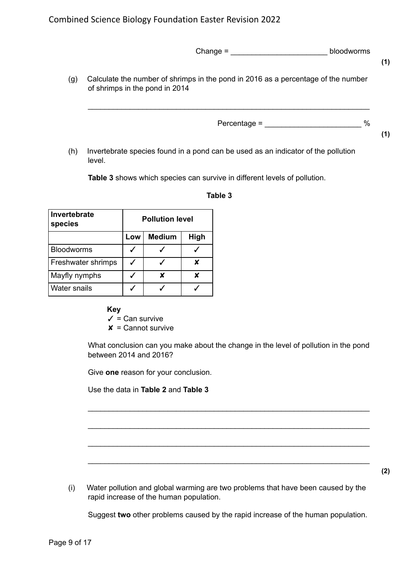|     | Change $=$                                                                                                          | bloodworms | (1) |
|-----|---------------------------------------------------------------------------------------------------------------------|------------|-----|
| (g) | Calculate the number of shrimps in the pond in 2016 as a percentage of the number<br>of shrimps in the pond in 2014 |            |     |
|     | $Percentage =$                                                                                                      | %          | (1) |
| (h) | Invertebrate species found in a pond can be used as an indicator of the pollution<br>level.                         |            |     |

**Table 3** shows which species can survive in different levels of pollution.

| Invertebrate<br>species |     | <b>Pollution level</b> |      |  |
|-------------------------|-----|------------------------|------|--|
|                         | Low | <b>Medium</b>          | High |  |
| <b>Bloodworms</b>       |     |                        |      |  |
| Freshwater shrimps      |     |                        | ¥    |  |
| Mayfly nymphs           |     |                        |      |  |
| <b>Water snails</b>     |     |                        |      |  |

#### **Table 3**

**Key**

 $\checkmark$  = Can survive

 $x =$  Cannot survive

What conclusion can you make about the change in the level of pollution in the pond between 2014 and 2016?

\_\_\_\_\_\_\_\_\_\_\_\_\_\_\_\_\_\_\_\_\_\_\_\_\_\_\_\_\_\_\_\_\_\_\_\_\_\_\_\_\_\_\_\_\_\_\_\_\_\_\_\_\_\_\_\_\_\_\_\_\_\_\_\_\_\_\_

\_\_\_\_\_\_\_\_\_\_\_\_\_\_\_\_\_\_\_\_\_\_\_\_\_\_\_\_\_\_\_\_\_\_\_\_\_\_\_\_\_\_\_\_\_\_\_\_\_\_\_\_\_\_\_\_\_\_\_\_\_\_\_\_\_\_\_

\_\_\_\_\_\_\_\_\_\_\_\_\_\_\_\_\_\_\_\_\_\_\_\_\_\_\_\_\_\_\_\_\_\_\_\_\_\_\_\_\_\_\_\_\_\_\_\_\_\_\_\_\_\_\_\_\_\_\_\_\_\_\_\_\_\_\_

\_\_\_\_\_\_\_\_\_\_\_\_\_\_\_\_\_\_\_\_\_\_\_\_\_\_\_\_\_\_\_\_\_\_\_\_\_\_\_\_\_\_\_\_\_\_\_\_\_\_\_\_\_\_\_\_\_\_\_\_\_\_\_\_\_\_\_

Give **one** reason for your conclusion.

Use the data in **Table 2** and **Table 3**

(i) Water pollution and global warming are two problems that have been caused by the rapid increase of the human population.

Suggest **two** other problems caused by the rapid increase of the human population.

**(2)**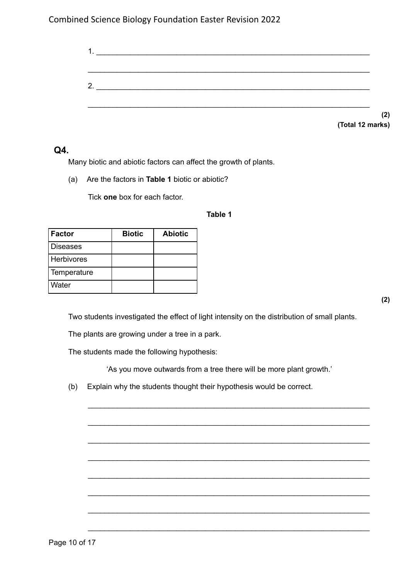| റ |                  |
|---|------------------|
|   |                  |
|   |                  |
|   | (2)              |
|   | (Total 12 marks) |

**Q4.**

Many biotic and abiotic factors can affect the growth of plants.

(a) Are the factors in **Table 1** biotic or abiotic?

Tick **one** box for each factor.

#### **Table 1**

| Factor            | <b>Biotic</b> | <b>Abiotic</b> |
|-------------------|---------------|----------------|
| <b>Diseases</b>   |               |                |
| <b>Herbivores</b> |               |                |
| Temperature       |               |                |
| Water             |               |                |

**(2)**

Two students investigated the effect of light intensity on the distribution of small plants.

The plants are growing under a tree in a park.

The students made the following hypothesis:

'As you move outwards from a tree there will be more plant growth.'

\_\_\_\_\_\_\_\_\_\_\_\_\_\_\_\_\_\_\_\_\_\_\_\_\_\_\_\_\_\_\_\_\_\_\_\_\_\_\_\_\_\_\_\_\_\_\_\_\_\_\_\_\_\_\_\_\_\_\_\_\_\_\_\_\_\_\_

\_\_\_\_\_\_\_\_\_\_\_\_\_\_\_\_\_\_\_\_\_\_\_\_\_\_\_\_\_\_\_\_\_\_\_\_\_\_\_\_\_\_\_\_\_\_\_\_\_\_\_\_\_\_\_\_\_\_\_\_\_\_\_\_\_\_\_

\_\_\_\_\_\_\_\_\_\_\_\_\_\_\_\_\_\_\_\_\_\_\_\_\_\_\_\_\_\_\_\_\_\_\_\_\_\_\_\_\_\_\_\_\_\_\_\_\_\_\_\_\_\_\_\_\_\_\_\_\_\_\_\_\_\_\_

\_\_\_\_\_\_\_\_\_\_\_\_\_\_\_\_\_\_\_\_\_\_\_\_\_\_\_\_\_\_\_\_\_\_\_\_\_\_\_\_\_\_\_\_\_\_\_\_\_\_\_\_\_\_\_\_\_\_\_\_\_\_\_\_\_\_\_

\_\_\_\_\_\_\_\_\_\_\_\_\_\_\_\_\_\_\_\_\_\_\_\_\_\_\_\_\_\_\_\_\_\_\_\_\_\_\_\_\_\_\_\_\_\_\_\_\_\_\_\_\_\_\_\_\_\_\_\_\_\_\_\_\_\_\_

\_\_\_\_\_\_\_\_\_\_\_\_\_\_\_\_\_\_\_\_\_\_\_\_\_\_\_\_\_\_\_\_\_\_\_\_\_\_\_\_\_\_\_\_\_\_\_\_\_\_\_\_\_\_\_\_\_\_\_\_\_\_\_\_\_\_\_

\_\_\_\_\_\_\_\_\_\_\_\_\_\_\_\_\_\_\_\_\_\_\_\_\_\_\_\_\_\_\_\_\_\_\_\_\_\_\_\_\_\_\_\_\_\_\_\_\_\_\_\_\_\_\_\_\_\_\_\_\_\_\_\_\_\_\_

\_\_\_\_\_\_\_\_\_\_\_\_\_\_\_\_\_\_\_\_\_\_\_\_\_\_\_\_\_\_\_\_\_\_\_\_\_\_\_\_\_\_\_\_\_\_\_\_\_\_\_\_\_\_\_\_\_\_\_\_\_\_\_\_\_\_\_

(b) Explain why the students thought their hypothesis would be correct.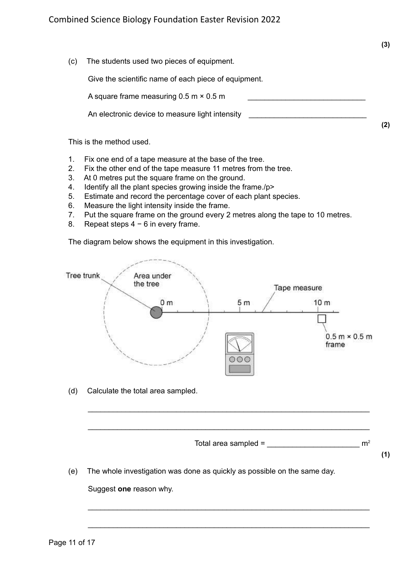**(2)**

(c) The students used two pieces of equipment.

Give the scientific name of each piece of equipment.

A square frame measuring  $0.5$  m  $\times$  0.5 m

An electronic device to measure light intensity

This is the method used.

- 1. Fix one end of a tape measure at the base of the tree.
- 2. Fix the other end of the tape measure 11 metres from the tree.
- 3. At 0 metres put the square frame on the ground.
- 4. Identify all the plant species growing inside the frame./p>
- 5. Estimate and record the percentage cover of each plant species.
- 6. Measure the light intensity inside the frame.
- 7. Put the square frame on the ground every 2 metres along the tape to 10 metres.
- 8. Repeat steps 4 − 6 in every frame.

The diagram below shows the equipment in this investigation.



\_\_\_\_\_\_\_\_\_\_\_\_\_\_\_\_\_\_\_\_\_\_\_\_\_\_\_\_\_\_\_\_\_\_\_\_\_\_\_\_\_\_\_\_\_\_\_\_\_\_\_\_\_\_\_\_\_\_\_\_\_\_\_\_\_\_\_

\_\_\_\_\_\_\_\_\_\_\_\_\_\_\_\_\_\_\_\_\_\_\_\_\_\_\_\_\_\_\_\_\_\_\_\_\_\_\_\_\_\_\_\_\_\_\_\_\_\_\_\_\_\_\_\_\_\_\_\_\_\_\_\_\_\_\_

\_\_\_\_\_\_\_\_\_\_\_\_\_\_\_\_\_\_\_\_\_\_\_\_\_\_\_\_\_\_\_\_\_\_\_\_\_\_\_\_\_\_\_\_\_\_\_\_\_\_\_\_\_\_\_\_\_\_\_\_\_\_\_\_\_\_\_

\_\_\_\_\_\_\_\_\_\_\_\_\_\_\_\_\_\_\_\_\_\_\_\_\_\_\_\_\_\_\_\_\_\_\_\_\_\_\_\_\_\_\_\_\_\_\_\_\_\_\_\_\_\_\_\_\_\_\_\_\_\_\_\_\_\_\_

(d) Calculate the total area sampled.



**(1)**

(e) The whole investigation was done as quickly as possible on the same day.

Suggest **one** reason why.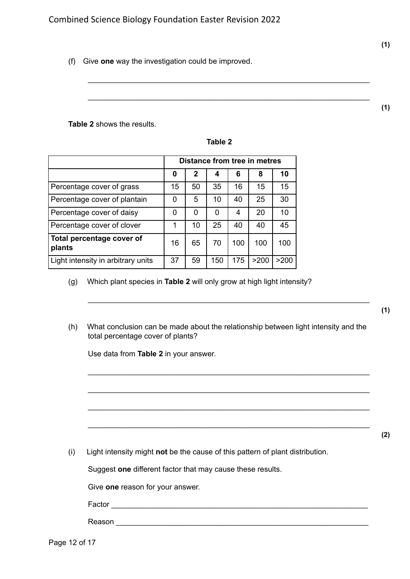(f) Give **one** way the investigation could be improved.

**Table 2** shows the results.

| в<br> |  |
|-------|--|
|-------|--|

\_\_\_\_\_\_\_\_\_\_\_\_\_\_\_\_\_\_\_\_\_\_\_\_\_\_\_\_\_\_\_\_\_\_\_\_\_\_\_\_\_\_\_\_\_\_\_\_\_\_\_\_\_\_\_\_\_\_\_\_\_\_\_\_\_\_\_

\_\_\_\_\_\_\_\_\_\_\_\_\_\_\_\_\_\_\_\_\_\_\_\_\_\_\_\_\_\_\_\_\_\_\_\_\_\_\_\_\_\_\_\_\_\_\_\_\_\_\_\_\_\_\_\_\_\_\_\_\_\_\_\_\_\_\_

|                                     | Distance from tree in metres |    |     |     |      |      |
|-------------------------------------|------------------------------|----|-----|-----|------|------|
|                                     | 0                            | 2  | 4   | 6   | 8    | 10   |
| Percentage cover of grass           | 15                           | 50 | 35  | 16  | 15   | 15   |
| Percentage cover of plantain        | 0                            | 5  | 10  | 40  | 25   | 30   |
| Percentage cover of daisy           | 0                            | 0  | 0   | 4   | 20   | 10   |
| Percentage cover of clover          | 1                            | 10 | 25  | 40  | 40   | 45   |
| Total percentage cover of<br>plants | 16                           | 65 | 70  | 100 | 100  | 100  |
| Light intensity in arbitrary units  | 37                           | 59 | 150 | 175 | >200 | >200 |

- (g) Which plant species in **Table 2** will only grow at high light intensity?
- (h) What conclusion can be made about the relationship between light intensity and the total percentage cover of plants?

\_\_\_\_\_\_\_\_\_\_\_\_\_\_\_\_\_\_\_\_\_\_\_\_\_\_\_\_\_\_\_\_\_\_\_\_\_\_\_\_\_\_\_\_\_\_\_\_\_\_\_\_\_\_\_\_\_\_\_\_\_\_\_\_\_\_\_

\_\_\_\_\_\_\_\_\_\_\_\_\_\_\_\_\_\_\_\_\_\_\_\_\_\_\_\_\_\_\_\_\_\_\_\_\_\_\_\_\_\_\_\_\_\_\_\_\_\_\_\_\_\_\_\_\_\_\_\_\_\_\_\_\_\_\_

\_\_\_\_\_\_\_\_\_\_\_\_\_\_\_\_\_\_\_\_\_\_\_\_\_\_\_\_\_\_\_\_\_\_\_\_\_\_\_\_\_\_\_\_\_\_\_\_\_\_\_\_\_\_\_\_\_\_\_\_\_\_\_\_\_\_\_

\_\_\_\_\_\_\_\_\_\_\_\_\_\_\_\_\_\_\_\_\_\_\_\_\_\_\_\_\_\_\_\_\_\_\_\_\_\_\_\_\_\_\_\_\_\_\_\_\_\_\_\_\_\_\_\_\_\_\_\_\_\_\_\_\_\_\_

\_\_\_\_\_\_\_\_\_\_\_\_\_\_\_\_\_\_\_\_\_\_\_\_\_\_\_\_\_\_\_\_\_\_\_\_\_\_\_\_\_\_\_\_\_\_\_\_\_\_\_\_\_\_\_\_\_\_\_\_\_\_\_\_\_\_\_

Use data from **Table 2** in your answer.

(i) Light intensity might **not** be the cause of this pattern of plant distribution.

Suggest **one** different factor that may cause these results.

Give **one** reason for your answer.

Factor \_\_\_\_\_\_\_\_\_\_\_\_\_\_\_\_\_\_\_\_\_\_\_\_\_\_\_\_\_\_\_\_\_\_\_\_\_\_\_\_\_\_\_\_\_\_\_\_\_\_\_\_\_\_\_\_\_\_\_\_\_

Reason \_\_\_\_\_\_\_\_\_\_\_\_\_\_\_\_\_\_\_\_\_\_\_\_\_\_\_\_\_\_\_\_\_\_\_\_\_\_\_\_\_\_\_\_\_\_\_\_\_\_\_\_\_\_\_\_\_\_\_\_

**(1)**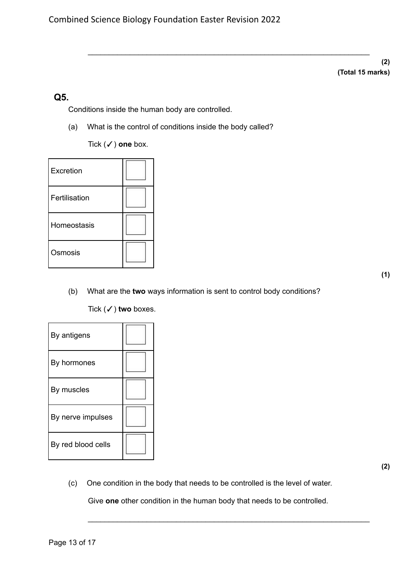\_\_\_\_\_\_\_\_\_\_\_\_\_\_\_\_\_\_\_\_\_\_\_\_\_\_\_\_\_\_\_\_\_\_\_\_\_\_\_\_\_\_\_\_\_\_\_\_\_\_\_\_\_\_\_\_\_\_\_\_\_\_\_\_\_\_\_

**(2) (Total 15 marks)**

### **Q5.**

Conditions inside the human body are controlled.

(a) What is the control of conditions inside the body called?

Tick (✓) **one** box.

| Excretion     |  |
|---------------|--|
| Fertilisation |  |
| Homeostasis   |  |
| Osmosis       |  |

(b) What are the **two** ways information is sent to control body conditions?

Tick (✓) **two** boxes.

| By antigens        |  |
|--------------------|--|
| By hormones        |  |
| By muscles         |  |
| By nerve impulses  |  |
| By red blood cells |  |

(c) One condition in the body that needs to be controlled is the level of water.

Give **one** other condition in the human body that needs to be controlled.

\_\_\_\_\_\_\_\_\_\_\_\_\_\_\_\_\_\_\_\_\_\_\_\_\_\_\_\_\_\_\_\_\_\_\_\_\_\_\_\_\_\_\_\_\_\_\_\_\_\_\_\_\_\_\_\_\_\_\_\_\_\_\_\_\_\_\_

**(2)**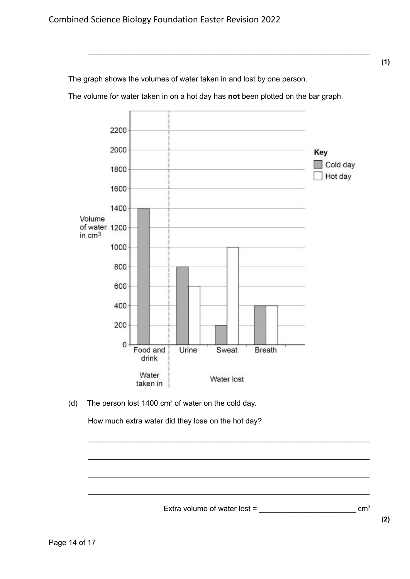The graph shows the volumes of water taken in and lost by one person.

The volume for water taken in on a hot day has **not** been plotted on the bar graph.

\_\_\_\_\_\_\_\_\_\_\_\_\_\_\_\_\_\_\_\_\_\_\_\_\_\_\_\_\_\_\_\_\_\_\_\_\_\_\_\_\_\_\_\_\_\_\_\_\_\_\_\_\_\_\_\_\_\_\_\_\_\_\_\_\_\_\_



(d) The person lost 1400  $cm<sup>3</sup>$  of water on the cold day.

How much extra water did they lose on the hot day?

Extra volume of water lost =  $\frac{1}{2}$ 

\_\_\_\_\_\_\_\_\_\_\_\_\_\_\_\_\_\_\_\_\_\_\_\_\_\_\_\_\_\_\_\_\_\_\_\_\_\_\_\_\_\_\_\_\_\_\_\_\_\_\_\_\_\_\_\_\_\_\_\_\_\_\_\_\_\_\_

\_\_\_\_\_\_\_\_\_\_\_\_\_\_\_\_\_\_\_\_\_\_\_\_\_\_\_\_\_\_\_\_\_\_\_\_\_\_\_\_\_\_\_\_\_\_\_\_\_\_\_\_\_\_\_\_\_\_\_\_\_\_\_\_\_\_\_

\_\_\_\_\_\_\_\_\_\_\_\_\_\_\_\_\_\_\_\_\_\_\_\_\_\_\_\_\_\_\_\_\_\_\_\_\_\_\_\_\_\_\_\_\_\_\_\_\_\_\_\_\_\_\_\_\_\_\_\_\_\_\_\_\_\_\_

\_\_\_\_\_\_\_\_\_\_\_\_\_\_\_\_\_\_\_\_\_\_\_\_\_\_\_\_\_\_\_\_\_\_\_\_\_\_\_\_\_\_\_\_\_\_\_\_\_\_\_\_\_\_\_\_\_\_\_\_\_\_\_\_\_\_\_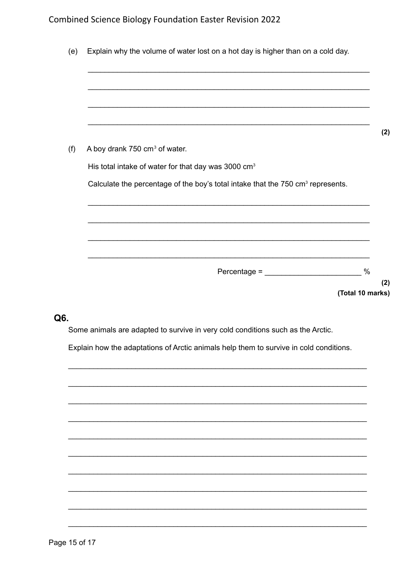|  | A boy drank 750 cm <sup>3</sup> of water.<br>His total intake of water for that day was 3000 cm <sup>3</sup><br>Calculate the percentage of the boy's total intake that the 750 cm <sup>3</sup> represents. |
|--|-------------------------------------------------------------------------------------------------------------------------------------------------------------------------------------------------------------|

### Q6.

Some animals are adapted to survive in very cold conditions such as the Arctic.

Explain how the adaptations of Arctic animals help them to survive in cold conditions.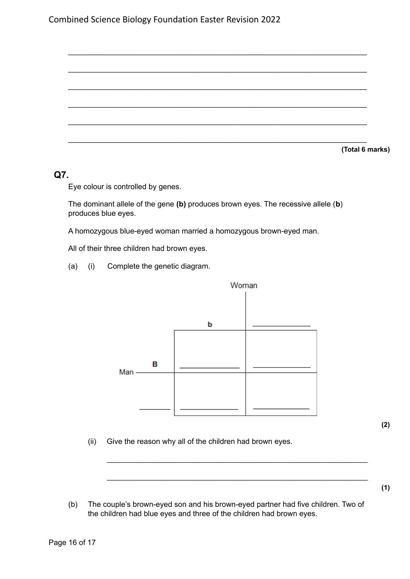**(Total 6 marks)**

### **Q7.**

Eye colour is controlled by genes.

The dominant allele of the gene **(b)** produces brown eyes. The recessive allele (**b**) produces blue eyes.

\_\_\_\_\_\_\_\_\_\_\_\_\_\_\_\_\_\_\_\_\_\_\_\_\_\_\_\_\_\_\_\_\_\_\_\_\_\_\_\_\_\_\_\_\_\_\_\_\_\_\_\_\_\_\_\_\_\_\_\_\_\_\_\_\_\_\_\_\_\_\_

\_\_\_\_\_\_\_\_\_\_\_\_\_\_\_\_\_\_\_\_\_\_\_\_\_\_\_\_\_\_\_\_\_\_\_\_\_\_\_\_\_\_\_\_\_\_\_\_\_\_\_\_\_\_\_\_\_\_\_\_\_\_\_\_\_\_\_\_\_\_\_

\_\_\_\_\_\_\_\_\_\_\_\_\_\_\_\_\_\_\_\_\_\_\_\_\_\_\_\_\_\_\_\_\_\_\_\_\_\_\_\_\_\_\_\_\_\_\_\_\_\_\_\_\_\_\_\_\_\_\_\_\_\_\_\_\_\_\_\_\_\_\_

\_\_\_\_\_\_\_\_\_\_\_\_\_\_\_\_\_\_\_\_\_\_\_\_\_\_\_\_\_\_\_\_\_\_\_\_\_\_\_\_\_\_\_\_\_\_\_\_\_\_\_\_\_\_\_\_\_\_\_\_\_\_\_\_\_\_\_\_\_\_\_

\_\_\_\_\_\_\_\_\_\_\_\_\_\_\_\_\_\_\_\_\_\_\_\_\_\_\_\_\_\_\_\_\_\_\_\_\_\_\_\_\_\_\_\_\_\_\_\_\_\_\_\_\_\_\_\_\_\_\_\_\_\_\_\_\_\_\_\_\_\_\_

\_\_\_\_\_\_\_\_\_\_\_\_\_\_\_\_\_\_\_\_\_\_\_\_\_\_\_\_\_\_\_\_\_\_\_\_\_\_\_\_\_\_\_\_\_\_\_\_\_\_\_\_\_\_\_\_\_\_\_\_\_\_\_\_\_\_\_\_\_\_\_

A homozygous blue-eyed woman married a homozygous brown-eyed man.

All of their three children had brown eyes.

(a) (i) Complete the genetic diagram.



**(2)**

(ii) Give the reason why all of the children had brown eyes.

**(1)**

(b) The couple's brown-eyed son and his brown-eyed partner had five children. Two of the children had blue eyes and three of the children had brown eyes.

\_\_\_\_\_\_\_\_\_\_\_\_\_\_\_\_\_\_\_\_\_\_\_\_\_\_\_\_\_\_\_\_\_\_\_\_\_\_\_\_\_\_\_\_\_\_\_\_\_\_\_\_\_\_\_\_\_\_\_\_\_\_

\_\_\_\_\_\_\_\_\_\_\_\_\_\_\_\_\_\_\_\_\_\_\_\_\_\_\_\_\_\_\_\_\_\_\_\_\_\_\_\_\_\_\_\_\_\_\_\_\_\_\_\_\_\_\_\_\_\_\_\_\_\_